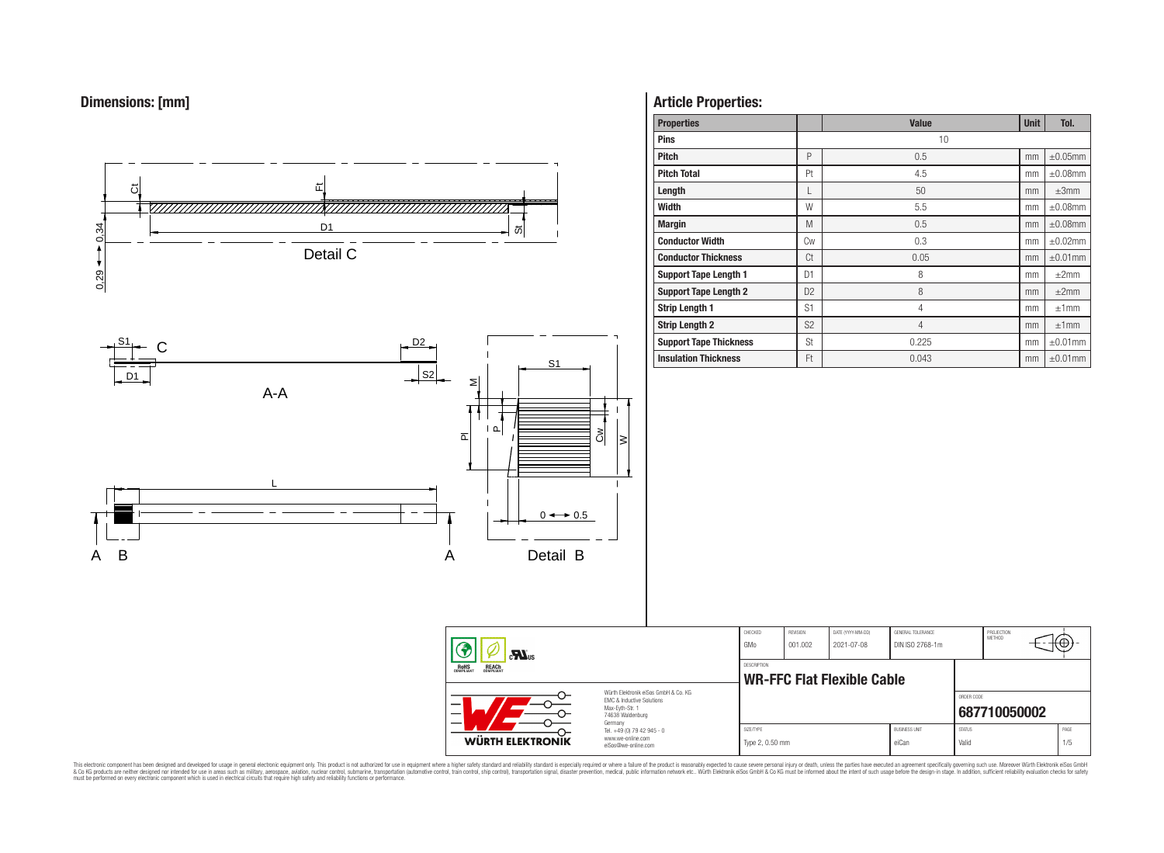



# **Article Properties:**

| <b>Properties</b>             |                | <b>Value</b>   | <b>Unit</b> | Tol.          |
|-------------------------------|----------------|----------------|-------------|---------------|
| <b>Pins</b>                   |                | 10             |             |               |
| <b>Pitch</b>                  | P              | 0.5            | mm          | $\pm 0.05$ mm |
| <b>Pitch Total</b>            | Pt             | 4.5            | mm          | $\pm 0.08$ mm |
| Length                        |                | 50             | mm          | $\pm 3$ mm    |
| Width                         | W              | 5.5            | mm          | $\pm 0.08$ mm |
| <b>Margin</b>                 | M              | 0.5            | mm          | $\pm 0.08$ mm |
| <b>Conductor Width</b>        | Cw             | 0.3            | mm          | $\pm 0.02$ mm |
| <b>Conductor Thickness</b>    | Ct             | 0.05           | mm          | $\pm 0.01$ mm |
| <b>Support Tape Length 1</b>  | D <sub>1</sub> | 8              | mm          | $\pm 2$ mm    |
| <b>Support Tape Length 2</b>  | D <sub>2</sub> | 8              | mm          | ±2mm          |
| <b>Strip Length 1</b>         | S <sub>1</sub> | 4              | mm          | ±1mm          |
| <b>Strip Length 2</b>         | S <sub>2</sub> | $\overline{4}$ | mm          | ±1mm          |
| <b>Support Tape Thickness</b> | <b>St</b>      | 0.225          | mm          | $\pm 0.01$ mm |
| <b>Insulation Thickness</b>   | Ft             | 0.043          | mm          | $\pm 0.01$ mm |

CHECKED REVISION DATE (YYYY-MM-DD) GENERAL TOLERANCE

**WR-FFC Flat Flexible Cable** 

DESCRIPTION

GMo 001.002 2021-07-08 DIN ISO 2768-1m

PROJECTION<br>METHOD

⊕

**[687710050002](https://www.we-online.com/catalog/en/article/687710050002)**

ORDER CODE

SIZE/TYPE BUSINESS UNIT STATUS PAGE Type 2, 0.50 mm eiCan value of the Valid Valid Valid 1/5

This electronic component has been designed and developed for usage in general electronic equipment only. This product is not authorized for subserved requipment where a higher selection equipment where a higher selection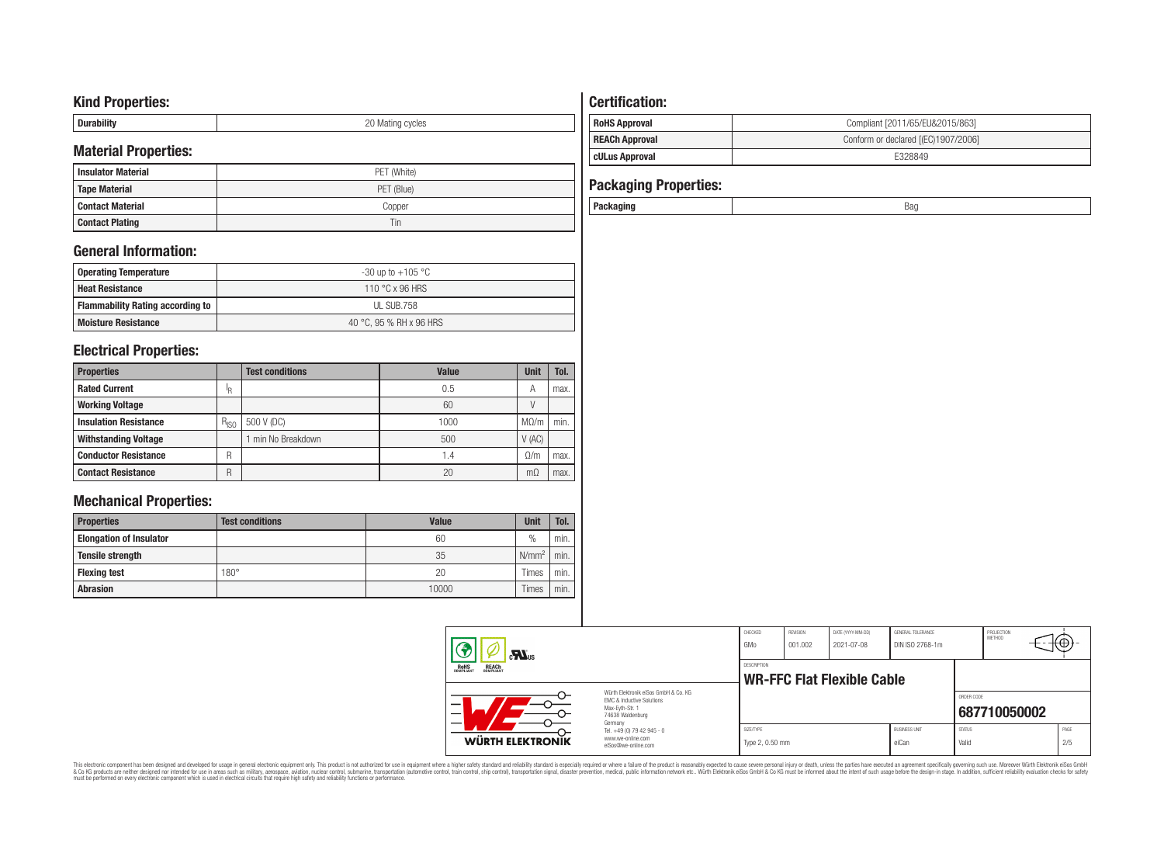# **Kind Properties:**

| --------- | nr<br>∵ycıes<br><b>IVIES LITTLE</b><br>◡ |
|-----------|------------------------------------------|

# **Material Properties:**

| <b>Insulator Material</b> | PET (White) |
|---------------------------|-------------|
| <b>Tape Material</b>      | PET (Blue)  |
| Contact Material          | Copper      |
| <b>Contact Plating</b>    | Tin         |

# **General Information:**

| Operating Temperature                   | -30 up to $+105\text{ °C}$ |
|-----------------------------------------|----------------------------|
| <b>Heat Resistance</b>                  | 110 °C x 96 HRS            |
| <b>Flammability Rating according to</b> | UL SUB.758                 |
| <b>Moisture Resistance</b>              | 40 °C. 95 % RH x 96 HRS    |

# **Electrical Properties:**

| <b>Properties</b>            |           | <b>Test conditions</b> | <b>Value</b>    | <b>Unit</b> | Tol. |
|------------------------------|-----------|------------------------|-----------------|-------------|------|
| <b>Rated Current</b>         | ΙR        |                        | 0.5             | А           | max. |
| <b>Working Voltage</b>       |           |                        | 60              |             |      |
| <b>Insulation Resistance</b> | $R_{ISO}$ | 500 V (DC)             | 1000            | $M\Omega/m$ | min. |
| <b>Withstanding Voltage</b>  |           | min No Breakdown       | 500             | V(AC)       |      |
| <b>Conductor Resistance</b>  | R         |                        | $\mathsf{I}$ .4 | 0/m         | max. |
| <b>Contact Resistance</b>    | R         |                        | 20              | mΩ          | max. |

# **Mechanical Properties:**

| <b>Properties</b>              | <b>Test conditions</b> | Value | <b>Unit</b>   | Tol. |
|--------------------------------|------------------------|-------|---------------|------|
| <b>Elongation of Insulator</b> |                        | 60    | $\frac{0}{0}$ | min. |
| <b>Tensile strength</b>        |                        | 35    | $N/mm^2$      | min. |
| <b>Flexing test</b>            | $180^\circ$            | 20    | Times         | min. |
| <b>Abrasion</b>                |                        | 10000 | Times         | min. |

# **Certification:**

| RoHS Approval         | Compliant [2011/65/EU&2015/863]     |
|-----------------------|-------------------------------------|
| <b>REACh Approval</b> | Conform or declared [(EC)1907/2006] |
| cULus Approval        | E328849                             |

| <b>Packaging Properties:</b> |     |
|------------------------------|-----|
| Packaging                    | Bao |

| $c$ <b>N</b> <sub>us</sub>                                                                                          |                                                                        | CHECKED<br>GMo               | REVISION<br>001.002 | DATE (YYYY-MM-DD)<br>2021-07-08   | GENERAL TOLERANCE<br>DIN ISO 2768-1m |                        | PROJECTION<br>METHOD | πΨ          |
|---------------------------------------------------------------------------------------------------------------------|------------------------------------------------------------------------|------------------------------|---------------------|-----------------------------------|--------------------------------------|------------------------|----------------------|-------------|
| <b>REACH</b><br>COMPLIANT<br>ROHS<br>COMPLIANT                                                                      |                                                                        | DESCRIPTION                  |                     | <b>WR-FFC Flat Flexible Cable</b> |                                      |                        |                      |             |
| Würth Elektronik eiSos GmbH & Co. KG<br>EMC & Inductive Solutions<br>Max-Eyth-Str. 1<br>74638 Waldenburg<br>Germany |                                                                        |                              |                     |                                   |                                      | ORDER CODE             | 687710050002         |             |
| WÜRTH ELEKTRONIK                                                                                                    | Tel. +49 (0) 79 42 945 - 0<br>www.we-online.com<br>eiSos@we-online.com | SIZE/TYPE<br>Type 2, 0.50 mm |                     |                                   | <b>BUSINESS UNIT</b><br>eiCan        | <b>STATUS</b><br>Valid |                      | PAGE<br>2/5 |

This electronic component has been designed and developed for usage in general electronic equipment only. This product is not authorized for subserved requipment where a higher selection equipment where a higher selection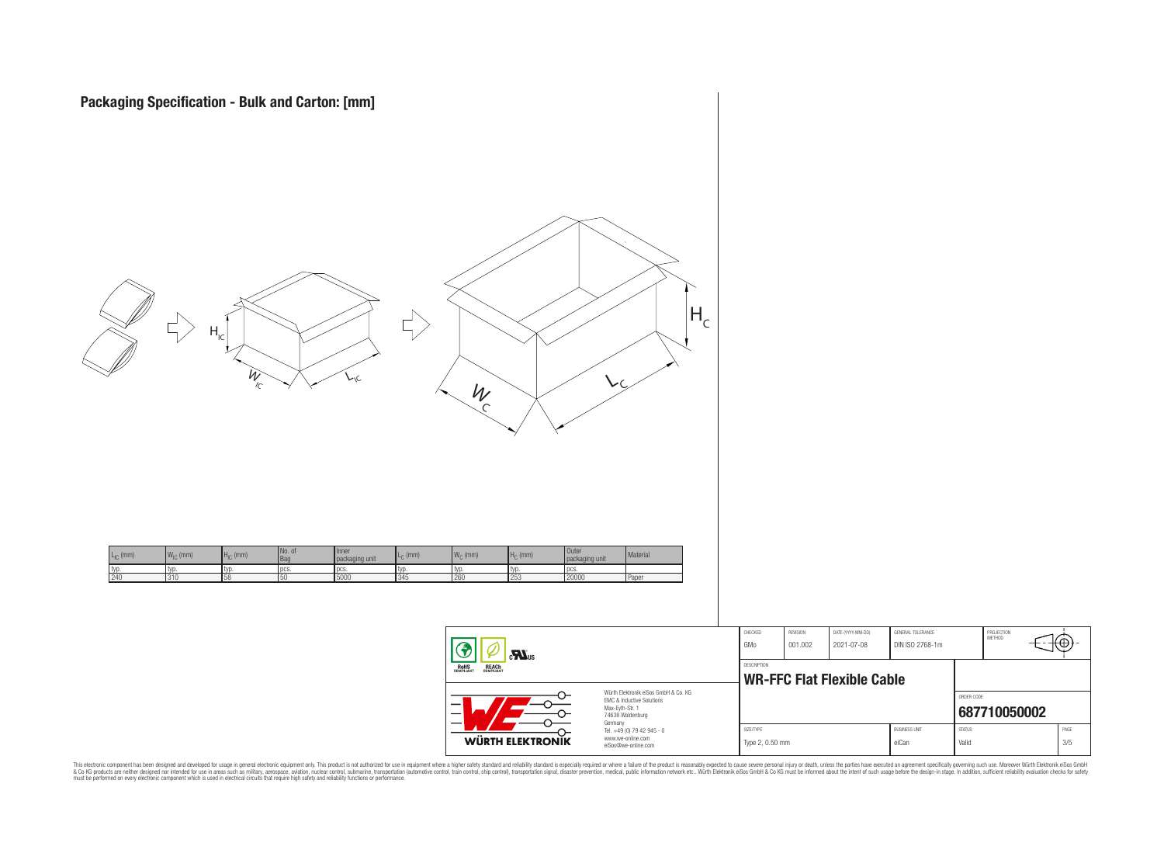

**WR-FFC Flat Flexible Cable**  Würth Elektronik eiSos GmbH & Co. KG ORDER CODE EMC & Inductive Solutions Max-Eyth-Str. 1 **[687710050002](https://www.we-online.com/catalog/en/article/687710050002)** 74638 Waldenburg Germany Tel. +49 (0) 79 42 945 - 0 SIZE/TYPE BUSINESS UNIT STATUS PAGE www.we-online.com **WÜRTH ELEKTRONIK** Type 2, 0.50 mm eiCan value of the Can value of Valid 3/5 eiSos@we-online.com

PROJECTION<br>METHOD

Ю

This electronic component has been designed and developed for usage in general electronic equipment only. This product is not authorized for subserved requipment where a higher selection equipment where a higher selection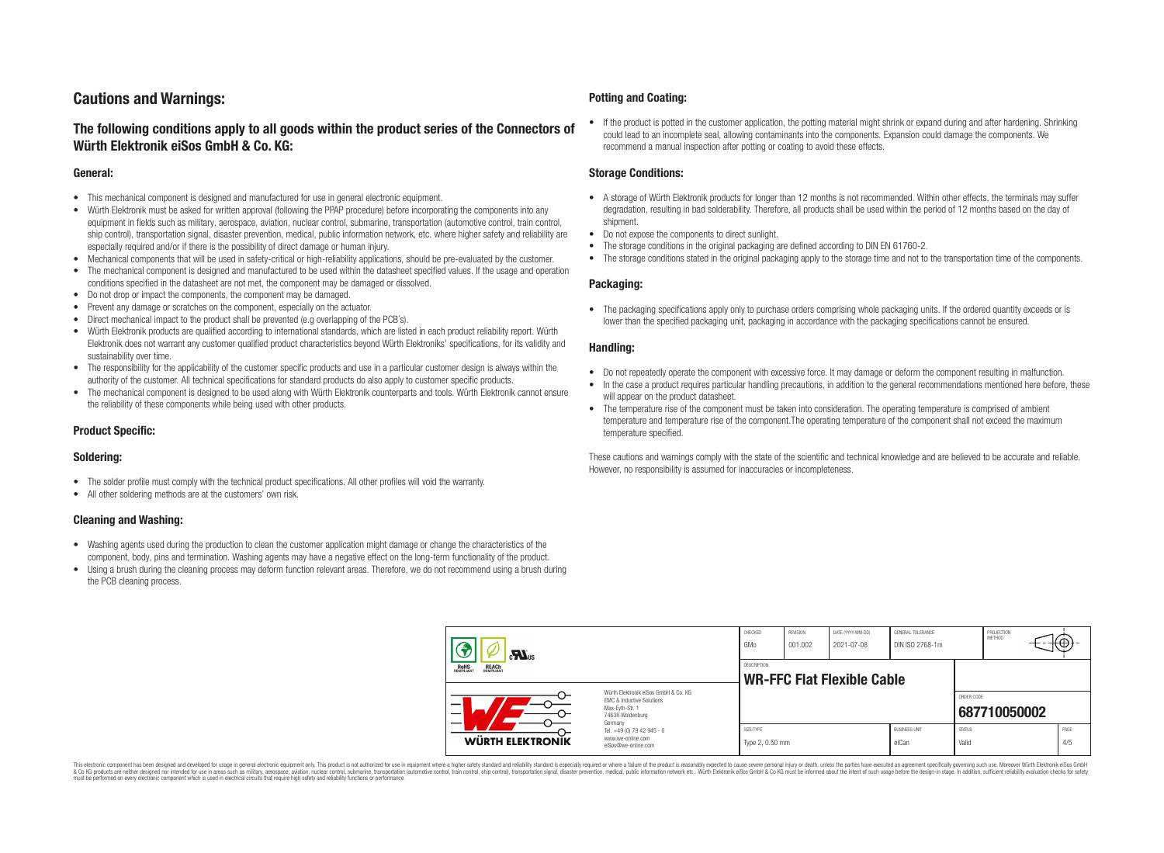# **Cautions and Warnings:**

# **The following conditions apply to all goods within the product series of the Connectors of Würth Elektronik eiSos GmbH & Co. KG:**

#### **General:**

- This mechanical component is designed and manufactured for use in general electronic equipment.
- Würth Elektronik must be asked for written approval (following the PPAP procedure) before incorporating the components into any equipment in fields such as military, aerospace, aviation, nuclear control, submarine, transportation (automotive control, train control, ship control), transportation signal, disaster prevention, medical, public information network, etc. where higher safety and reliability are especially required and/or if there is the possibility of direct damage or human injury.
- Mechanical components that will be used in safety-critical or high-reliability applications, should be pre-evaluated by the customer.
- The mechanical component is designed and manufactured to be used within the datasheet specified values. If the usage and operation conditions specified in the datasheet are not met, the component may be damaged or dissolved.
- Do not drop or impact the components, the component may be damaged.
- Prevent any damage or scratches on the component, especially on the actuator.
- Direct mechanical impact to the product shall be prevented (e.g overlapping of the PCB's).
- Würth Elektronik products are qualified according to international standards, which are listed in each product reliability report. Würth Elektronik does not warrant any customer qualified product characteristics beyond Würth Elektroniks' specifications, for its validity and sustainability over time.
- The responsibility for the applicability of the customer specific products and use in a particular customer design is always within the authority of the customer. All technical specifications for standard products do also apply to customer specific products.
- The mechanical component is designed to be used along with Würth Elektronik counterparts and tools. Würth Elektronik cannot ensure the reliability of these components while being used with other products.

#### **Product Specific:**

#### **Soldering:**

- The solder profile must comply with the technical product specifications. All other profiles will void the warranty.
- All other soldering methods are at the customers' own risk.

#### **Cleaning and Washing:**

- Washing agents used during the production to clean the customer application might damage or change the characteristics of the component, body, pins and termination. Washing agents may have a negative effect on the long-term functionality of the product.
- Using a brush during the cleaning process may deform function relevant areas. Therefore, we do not recommend using a brush during the PCB cleaning process.

#### **Potting and Coating:**

• If the product is potted in the customer application, the potting material might shrink or expand during and after hardening. Shrinking could lead to an incomplete seal, allowing contaminants into the components. Expansion could damage the components. We recommend a manual inspection after potting or coating to avoid these effects.

#### **Storage Conditions:**

- A storage of Würth Elektronik products for longer than 12 months is not recommended. Within other effects, the terminals may suffer degradation, resulting in bad solderability. Therefore, all products shall be used within the period of 12 months based on the day of shipment.
- Do not expose the components to direct sunlight.
- The storage conditions in the original packaging are defined according to DIN EN 61760-2.
- The storage conditions stated in the original packaging apply to the storage time and not to the transportation time of the components.

#### **Packaging:**

• The packaging specifications apply only to purchase orders comprising whole packaging units. If the ordered quantity exceeds or is lower than the specified packaging unit, packaging in accordance with the packaging specifications cannot be ensured.

#### **Handling:**

- Do not repeatedly operate the component with excessive force. It may damage or deform the component resulting in malfunction.
- In the case a product requires particular handling precautions, in addition to the general recommendations mentioned here before, these will appear on the product datasheet
- The temperature rise of the component must be taken into consideration. The operating temperature is comprised of ambient temperature and temperature rise of the component.The operating temperature of the component shall not exceed the maximum temperature specified.

These cautions and warnings comply with the state of the scientific and technical knowledge and are believed to be accurate and reliable. However, no responsibility is assumed for inaccuracies or incompleteness.

| $\mathbf{r}$                                   |                                                                                                                     | CHECKED<br>GMo               | <b>REVISION</b><br>001.002 | DATE (YYYY-MM-DD)<br>2021-07-08   | GENERAL TOLERANCE<br>DIN ISO 2768-1m |                        | PROJECTION<br>METHOD | ₩ |             |
|------------------------------------------------|---------------------------------------------------------------------------------------------------------------------|------------------------------|----------------------------|-----------------------------------|--------------------------------------|------------------------|----------------------|---|-------------|
| ROHS<br>COMPLIANT<br><b>REACH</b><br>COMPLIANT |                                                                                                                     | <b>DESCRIPTION</b>           |                            | <b>WR-FFC Flat Flexible Cable</b> |                                      |                        |                      |   |             |
| –                                              | Würth Elektronik eiSos GmbH & Co. KG<br>EMC & Inductive Solutions<br>Max-Eyth-Str. 1<br>74638 Waldenburg<br>Germany |                              |                            |                                   |                                      | ORDER CODE             | 687710050002         |   |             |
| <b>WÜRTH ELEKTRONIK</b>                        | Tel. +49 (0) 79 42 945 - 0<br>www.we-online.com<br>eiSos@we-online.com                                              | SIZE/TYPE<br>Type 2, 0.50 mm |                            |                                   | <b>BUSINESS UNIT</b><br>eiCan        | <b>STATUS</b><br>Valid |                      |   | PAGE<br>4/5 |

This electronic component has been designed and developed for usage in general electronic equipment only. This product is not authorized for use in equipment where a higher safety standard and reliability standard si espec & Ook product a label and the membed of the seasuch as marked and as which such a membed and the such assume that income in the seasuch and the simulation and the such assume that include to the such a membed and the such